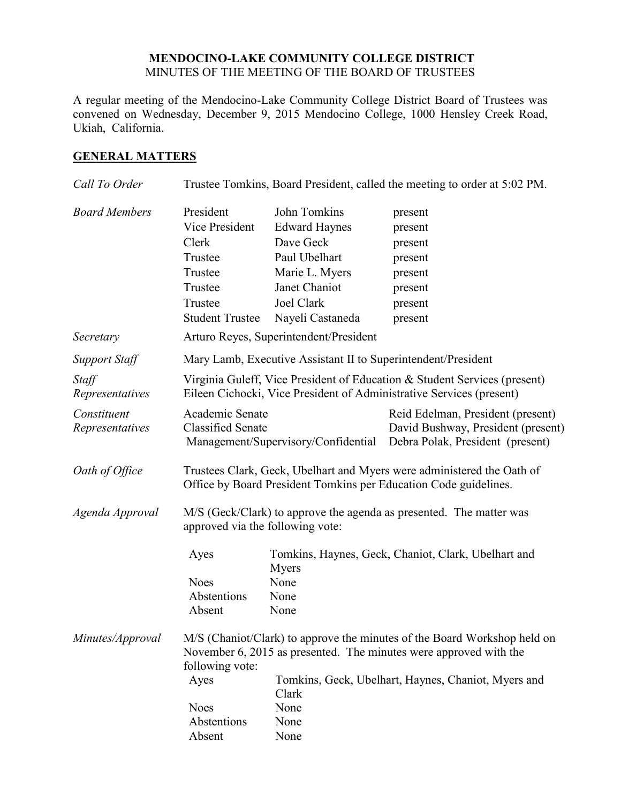## **MENDOCINO-LAKE COMMUNITY COLLEGE DISTRICT** MINUTES OF THE MEETING OF THE BOARD OF TRUSTEES

A regular meeting of the Mendocino-Lake Community College District Board of Trustees was convened on Wednesday, December 9, 2015 Mendocino College, 1000 Hensley Creek Road, Ukiah, California.

## **GENERAL MATTERS**

| Call To Order                  | Trustee Tomkins, Board President, called the meeting to order at 5:02 PM.                                                                                        |                                                               |                                                                                                             |  |
|--------------------------------|------------------------------------------------------------------------------------------------------------------------------------------------------------------|---------------------------------------------------------------|-------------------------------------------------------------------------------------------------------------|--|
| <b>Board Members</b>           | President                                                                                                                                                        | John Tomkins                                                  | present                                                                                                     |  |
|                                | Vice President                                                                                                                                                   | <b>Edward Haynes</b>                                          | present                                                                                                     |  |
|                                | Clerk                                                                                                                                                            | Dave Geck                                                     | present                                                                                                     |  |
|                                | Trustee                                                                                                                                                          | Paul Ubelhart                                                 | present                                                                                                     |  |
|                                | Trustee                                                                                                                                                          | Marie L. Myers                                                | present                                                                                                     |  |
|                                | Trustee                                                                                                                                                          | Janet Chaniot                                                 | present                                                                                                     |  |
|                                | Trustee                                                                                                                                                          | Joel Clark                                                    | present                                                                                                     |  |
|                                | <b>Student Trustee</b>                                                                                                                                           | Nayeli Castaneda                                              | present                                                                                                     |  |
| Secretary                      |                                                                                                                                                                  | Arturo Reyes, Superintendent/President                        |                                                                                                             |  |
| <b>Support Staff</b>           |                                                                                                                                                                  | Mary Lamb, Executive Assistant II to Superintendent/President |                                                                                                             |  |
| Staff<br>Representatives       | Virginia Guleff, Vice President of Education & Student Services (present)<br>Eileen Cichocki, Vice President of Administrative Services (present)                |                                                               |                                                                                                             |  |
| Constituent<br>Representatives | Academic Senate<br><b>Classified Senate</b>                                                                                                                      | Management/Supervisory/Confidential                           | Reid Edelman, President (present)<br>David Bushway, President (present)<br>Debra Polak, President (present) |  |
| Oath of Office                 | Trustees Clark, Geck, Ubelhart and Myers were administered the Oath of<br>Office by Board President Tomkins per Education Code guidelines.                       |                                                               |                                                                                                             |  |
| Agenda Approval                | M/S (Geck/Clark) to approve the agenda as presented. The matter was<br>approved via the following vote:                                                          |                                                               |                                                                                                             |  |
|                                | Ayes                                                                                                                                                             | Myers                                                         | Tomkins, Haynes, Geck, Chaniot, Clark, Ubelhart and                                                         |  |
|                                | <b>Noes</b>                                                                                                                                                      | None                                                          |                                                                                                             |  |
|                                | Abstentions                                                                                                                                                      | None                                                          |                                                                                                             |  |
|                                | Absent                                                                                                                                                           | None                                                          |                                                                                                             |  |
| Minutes/Approval               | M/S (Chaniot/Clark) to approve the minutes of the Board Workshop held on<br>November 6, 2015 as presented. The minutes were approved with the<br>following vote: |                                                               |                                                                                                             |  |
|                                | Ayes                                                                                                                                                             | Clark                                                         | Tomkins, Geck, Ubelhart, Haynes, Chaniot, Myers and                                                         |  |
|                                | <b>Noes</b>                                                                                                                                                      | None                                                          |                                                                                                             |  |
|                                | Abstentions                                                                                                                                                      | None                                                          |                                                                                                             |  |
|                                | Absent                                                                                                                                                           | None                                                          |                                                                                                             |  |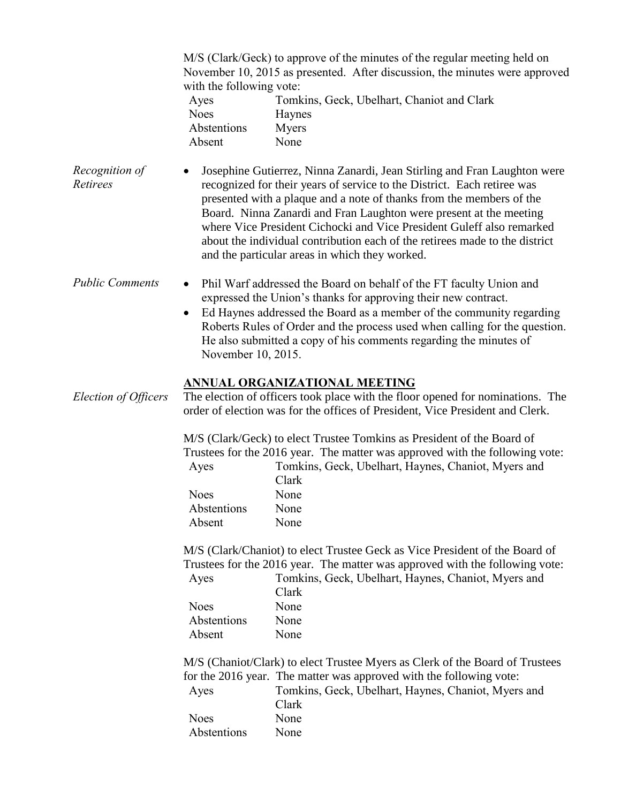M/S (Clark/Geck) to approve of the minutes of the regular meeting held on November 10, 2015 as presented. After discussion, the minutes were approved with the following vote:

| Ayes        | Tomkins, Geck, Ubelhart, Chaniot and Clark |
|-------------|--------------------------------------------|
| Noes        | <b>Haynes</b>                              |
| Abstentions | Myers                                      |
| Absent      | None                                       |

*Recognition of Retirees* Josephine Gutierrez, Ninna Zanardi, Jean Stirling and Fran Laughton were recognized for their years of service to the District. Each retiree was presented with a plaque and a note of thanks from the members of the Board. Ninna Zanardi and Fran Laughton were present at the meeting where Vice President Cichocki and Vice President Guleff also remarked about the individual contribution each of the retirees made to the district and the particular areas in which they worked.

- *Public Comments* Phil Warf addressed the Board on behalf of the FT faculty Union and expressed the Union's thanks for approving their new contract.
	- Ed Haynes addressed the Board as a member of the community regarding Roberts Rules of Order and the process used when calling for the question. He also submitted a copy of his comments regarding the minutes of November 10, 2015.

## **ANNUAL ORGANIZATIONAL MEETING**

*Election of Officers* The election of officers took place with the floor opened for nominations. The order of election was for the offices of President, Vice President and Clerk.

> M/S (Clark/Geck) to elect Trustee Tomkins as President of the Board of Trustees for the 2016 year. The matter was approved with the following vote:

| Ayes        | Tomkins, Geck, Ubelhart, Haynes, Chaniot, Myers and |
|-------------|-----------------------------------------------------|
|             | Clark                                               |
| Noes        | None                                                |
| Abstentions | <b>None</b>                                         |
| Absent      | None                                                |
|             |                                                     |

M/S (Clark/Chaniot) to elect Trustee Geck as Vice President of the Board of Trustees for the 2016 year. The matter was approved with the following vote:

| Ayes        | Tomkins, Geck, Ubelhart, Haynes, Chaniot, Myers and |  |
|-------------|-----------------------------------------------------|--|
|             | Clark                                               |  |
| Noes        | None                                                |  |
| Abstentions | None                                                |  |
| Absent      | None                                                |  |

M/S (Chaniot/Clark) to elect Trustee Myers as Clerk of the Board of Trustees for the 2016 year. The matter was approved with the following vote:

| Ayes | Tomkins, Geck, Ubelhart, Haynes, Chaniot, Myers and |  |  |
|------|-----------------------------------------------------|--|--|
|      | Clark                                               |  |  |
| Noes | None                                                |  |  |
|      |                                                     |  |  |

Abstentions None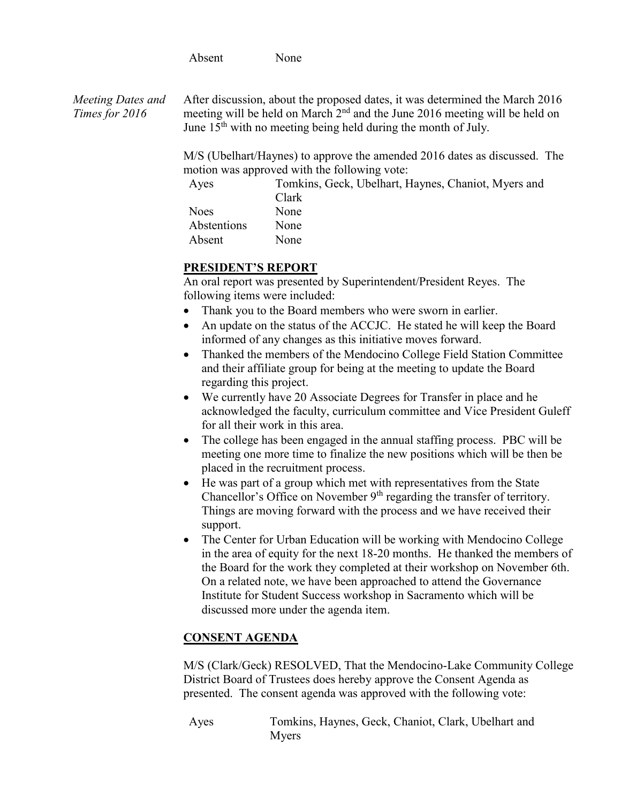Absent None

*Meeting Dates and Times for 2016* After discussion, about the proposed dates, it was determined the March 2016 meeting will be held on March 2<sup>nd</sup> and the June 2016 meeting will be held on June 15<sup>th</sup> with no meeting being held during the month of July.

> M/S (Ubelhart/Haynes) to approve the amended 2016 dates as discussed. The motion was approved with the following vote:

| Ayes        | Tomkins, Geck, Ubelhart, Haynes, Chaniot, Myers and |
|-------------|-----------------------------------------------------|
|             | Clark                                               |
| <b>Noes</b> | None                                                |
| Abstentions | None                                                |
| Absent      | None                                                |
|             |                                                     |

# **PRESIDENT'S REPORT**

An oral report was presented by Superintendent/President Reyes. The following items were included:

- Thank you to the Board members who were sworn in earlier.
- An update on the status of the ACCJC. He stated he will keep the Board informed of any changes as this initiative moves forward.
- Thanked the members of the Mendocino College Field Station Committee and their affiliate group for being at the meeting to update the Board regarding this project.
- We currently have 20 Associate Degrees for Transfer in place and he acknowledged the faculty, curriculum committee and Vice President Guleff for all their work in this area.
- The college has been engaged in the annual staffing process. PBC will be meeting one more time to finalize the new positions which will be then be placed in the recruitment process.
- He was part of a group which met with representatives from the State Chancellor's Office on November 9<sup>th</sup> regarding the transfer of territory. Things are moving forward with the process and we have received their support.
- The Center for Urban Education will be working with Mendocino College in the area of equity for the next 18-20 months. He thanked the members of the Board for the work they completed at their workshop on November 6th. On a related note, we have been approached to attend the Governance Institute for Student Success workshop in Sacramento which will be discussed more under the agenda item.

# **CONSENT AGENDA**

M/S (Clark/Geck) RESOLVED, That the Mendocino-Lake Community College District Board of Trustees does hereby approve the Consent Agenda as presented. The consent agenda was approved with the following vote:

Ayes Tomkins, Haynes, Geck, Chaniot, Clark, Ubelhart and Myers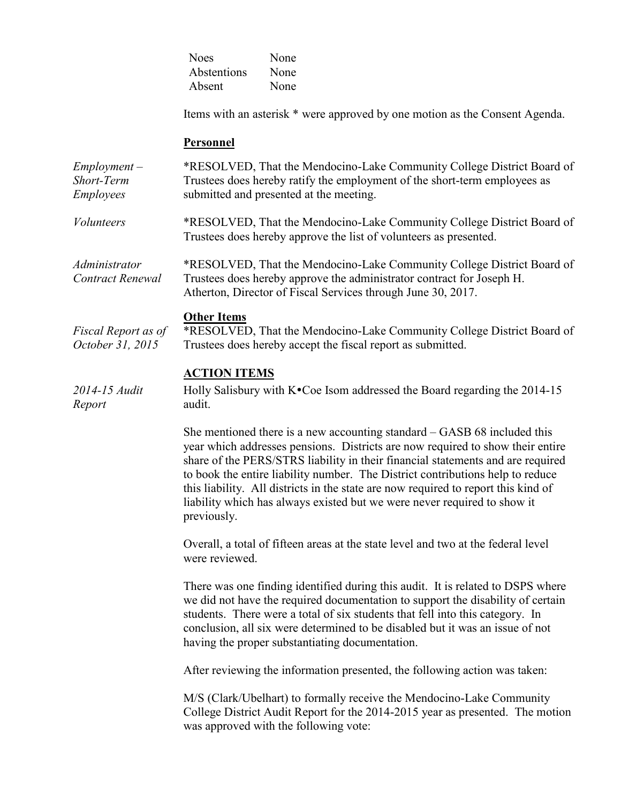| <b>Noes</b> | None |
|-------------|------|
| Abstentions | None |
| Absent      | None |

Items with an asterisk \* were approved by one motion as the Consent Agenda.

#### **Personnel**

*Employment – Short-Term Employees* \*RESOLVED, That the Mendocino-Lake Community College District Board of Trustees does hereby ratify the employment of the short-term employees as submitted and presented at the meeting.

*Volunteers* \*RESOLVED, That the Mendocino-Lake Community College District Board of Trustees does hereby approve the list of volunteers as presented.

*Administrator Contract Renewal* \*RESOLVED, That the Mendocino-Lake Community College District Board of Trustees does hereby approve the administrator contract for Joseph H. Atherton, Director of Fiscal Services through June 30, 2017.

#### **Other Items**

*Fiscal Report as of October 31, 2015* \*RESOLVED, That the Mendocino-Lake Community College District Board of Trustees does hereby accept the fiscal report as submitted.

## **ACTION ITEMS**

*2014-15 Audit Report* Holly Salisbury with  $K^{\bullet}$ Coe Isom addressed the Board regarding the 2014-15 audit.

> She mentioned there is a new accounting standard – GASB 68 included this year which addresses pensions. Districts are now required to show their entire share of the PERS/STRS liability in their financial statements and are required to book the entire liability number. The District contributions help to reduce this liability. All districts in the state are now required to report this kind of liability which has always existed but we were never required to show it previously.

Overall, a total of fifteen areas at the state level and two at the federal level were reviewed.

There was one finding identified during this audit. It is related to DSPS where we did not have the required documentation to support the disability of certain students. There were a total of six students that fell into this category. In conclusion, all six were determined to be disabled but it was an issue of not having the proper substantiating documentation.

After reviewing the information presented, the following action was taken:

M/S (Clark/Ubelhart) to formally receive the Mendocino-Lake Community College District Audit Report for the 2014-2015 year as presented. The motion was approved with the following vote: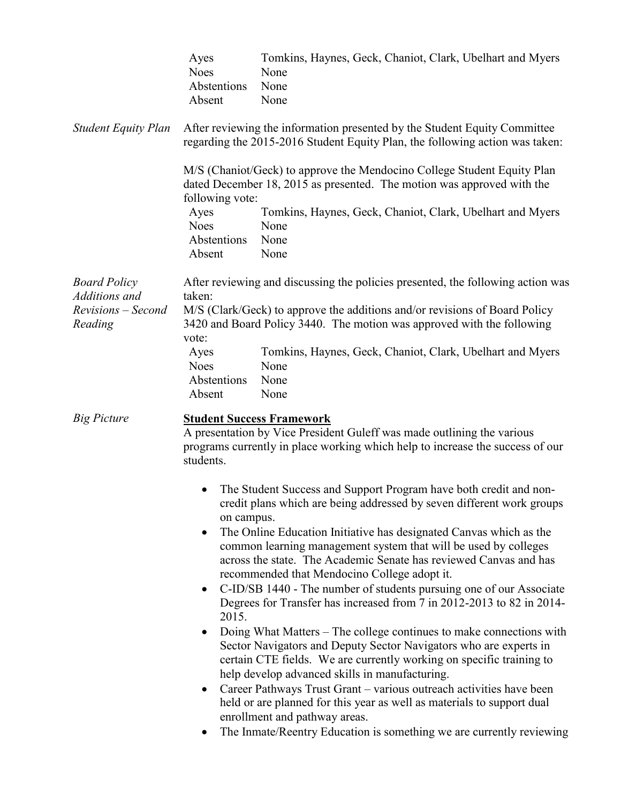|                                                                       | Ayes<br><b>Noes</b><br>Abstentions<br>Absent                                                                                                                                                             | Tomkins, Haynes, Geck, Chaniot, Clark, Ubelhart and Myers<br>None<br>None<br>None                                                                                                                                                                                                                                                                                                                                                                                                                                                                                                                                                                                                                                                                                                                                                                                                                                                                                                                                                                                                        |
|-----------------------------------------------------------------------|----------------------------------------------------------------------------------------------------------------------------------------------------------------------------------------------------------|------------------------------------------------------------------------------------------------------------------------------------------------------------------------------------------------------------------------------------------------------------------------------------------------------------------------------------------------------------------------------------------------------------------------------------------------------------------------------------------------------------------------------------------------------------------------------------------------------------------------------------------------------------------------------------------------------------------------------------------------------------------------------------------------------------------------------------------------------------------------------------------------------------------------------------------------------------------------------------------------------------------------------------------------------------------------------------------|
| <b>Student Equity Plan</b>                                            |                                                                                                                                                                                                          | After reviewing the information presented by the Student Equity Committee<br>regarding the 2015-2016 Student Equity Plan, the following action was taken:<br>M/S (Chaniot/Geck) to approve the Mendocino College Student Equity Plan                                                                                                                                                                                                                                                                                                                                                                                                                                                                                                                                                                                                                                                                                                                                                                                                                                                     |
|                                                                       | following vote:<br>Ayes<br><b>Noes</b><br>Abstentions<br>Absent                                                                                                                                          | dated December 18, 2015 as presented. The motion was approved with the<br>Tomkins, Haynes, Geck, Chaniot, Clark, Ubelhart and Myers<br>None<br>None<br>None                                                                                                                                                                                                                                                                                                                                                                                                                                                                                                                                                                                                                                                                                                                                                                                                                                                                                                                              |
| <b>Board Policy</b><br>Additions and<br>Revisions – Second<br>Reading | taken:<br>vote:<br>Ayes<br><b>Noes</b><br>Abstentions<br>Absent                                                                                                                                          | After reviewing and discussing the policies presented, the following action was<br>M/S (Clark/Geck) to approve the additions and/or revisions of Board Policy<br>3420 and Board Policy 3440. The motion was approved with the following<br>Tomkins, Haynes, Geck, Chaniot, Clark, Ubelhart and Myers<br>None<br>None<br>None                                                                                                                                                                                                                                                                                                                                                                                                                                                                                                                                                                                                                                                                                                                                                             |
| <b>Big Picture</b>                                                    | <b>Student Success Framework</b><br>A presentation by Vice President Guleff was made outlining the various<br>programs currently in place working which help to increase the success of our<br>students. |                                                                                                                                                                                                                                                                                                                                                                                                                                                                                                                                                                                                                                                                                                                                                                                                                                                                                                                                                                                                                                                                                          |
|                                                                       | $\bullet$<br>on campus.<br>$\bullet$<br>2015.<br>$\bullet$                                                                                                                                               | The Student Success and Support Program have both credit and non-<br>credit plans which are being addressed by seven different work groups<br>The Online Education Initiative has designated Canvas which as the<br>common learning management system that will be used by colleges<br>across the state. The Academic Senate has reviewed Canvas and has<br>recommended that Mendocino College adopt it.<br>C-ID/SB 1440 - The number of students pursuing one of our Associate<br>Degrees for Transfer has increased from 7 in 2012-2013 to 82 in 2014-<br>Doing What Matters – The college continues to make connections with<br>Sector Navigators and Deputy Sector Navigators who are experts in<br>certain CTE fields. We are currently working on specific training to<br>help develop advanced skills in manufacturing.<br>Career Pathways Trust Grant – various outreach activities have been<br>held or are planned for this year as well as materials to support dual<br>enrollment and pathway areas.<br>The Inmate/Reentry Education is something we are currently reviewing |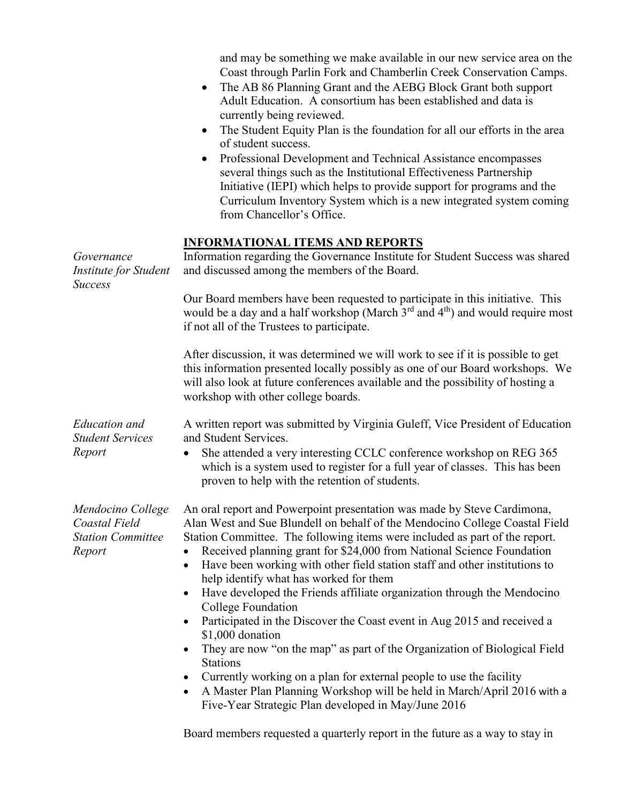and may be something we make available in our new service area on the Coast through Parlin Fork and Chamberlin Creek Conservation Camps.

- The AB 86 Planning Grant and the AEBG Block Grant both support Adult Education. A consortium has been established and data is currently being reviewed.
- The Student Equity Plan is the foundation for all our efforts in the area of student success.
- Professional Development and Technical Assistance encompasses several things such as the Institutional Effectiveness Partnership Initiative (IEPI) which helps to provide support for programs and the Curriculum Inventory System which is a new integrated system coming from Chancellor's Office.

## **INFORMATIONAL ITEMS AND REPORTS**

| Governance<br>Institute for Student<br><b>Success</b>                    | Information regarding the Governance Institute for Student Success was shared<br>and discussed among the members of the Board.                                                                                                                                                                                                                                                                                                                                                                                                                                                                                                                                                                                                                                                                                                          |  |  |
|--------------------------------------------------------------------------|-----------------------------------------------------------------------------------------------------------------------------------------------------------------------------------------------------------------------------------------------------------------------------------------------------------------------------------------------------------------------------------------------------------------------------------------------------------------------------------------------------------------------------------------------------------------------------------------------------------------------------------------------------------------------------------------------------------------------------------------------------------------------------------------------------------------------------------------|--|--|
|                                                                          | Our Board members have been requested to participate in this initiative. This<br>would be a day and a half workshop (March 3 <sup>rd</sup> and 4 <sup>th</sup> ) and would require most<br>if not all of the Trustees to participate.                                                                                                                                                                                                                                                                                                                                                                                                                                                                                                                                                                                                   |  |  |
|                                                                          | After discussion, it was determined we will work to see if it is possible to get<br>this information presented locally possibly as one of our Board workshops. We<br>will also look at future conferences available and the possibility of hosting a<br>workshop with other college boards.                                                                                                                                                                                                                                                                                                                                                                                                                                                                                                                                             |  |  |
| <b>Education</b> and<br><b>Student Services</b>                          | A written report was submitted by Virginia Guleff, Vice President of Education<br>and Student Services.                                                                                                                                                                                                                                                                                                                                                                                                                                                                                                                                                                                                                                                                                                                                 |  |  |
| Report                                                                   | She attended a very interesting CCLC conference workshop on REG 365<br>which is a system used to register for a full year of classes. This has been<br>proven to help with the retention of students.                                                                                                                                                                                                                                                                                                                                                                                                                                                                                                                                                                                                                                   |  |  |
| Mendocino College<br>Coastal Field<br><b>Station Committee</b><br>Report | An oral report and Powerpoint presentation was made by Steve Cardimona,<br>Alan West and Sue Blundell on behalf of the Mendocino College Coastal Field<br>Station Committee. The following items were included as part of the report.<br>Received planning grant for \$24,000 from National Science Foundation<br>Have been working with other field station staff and other institutions to<br>$\bullet$<br>help identify what has worked for them<br>Have developed the Friends affiliate organization through the Mendocino<br>$\bullet$<br>College Foundation<br>Participated in the Discover the Coast event in Aug 2015 and received a<br>\$1,000 donation<br>They are now "on the map" as part of the Organization of Biological Field<br><b>Stations</b><br>Currently working on a plan for external people to use the facility |  |  |
|                                                                          | A Master Plan Planning Workshop will be held in March/April 2016 with a<br>$\bullet$<br>Five-Year Strategic Plan developed in May/June 2016                                                                                                                                                                                                                                                                                                                                                                                                                                                                                                                                                                                                                                                                                             |  |  |
|                                                                          | Board members requested a quarterly report in the future as a way to stay in                                                                                                                                                                                                                                                                                                                                                                                                                                                                                                                                                                                                                                                                                                                                                            |  |  |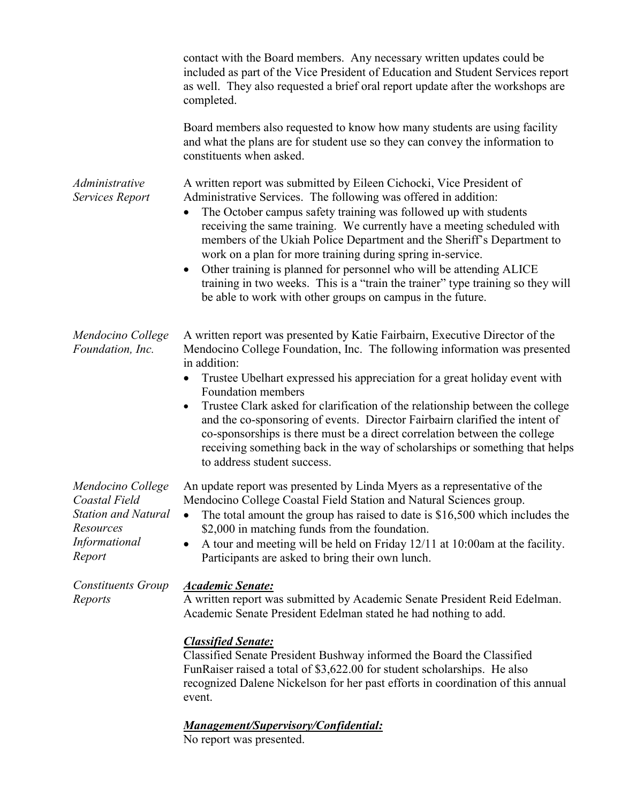|                                                                                                          | contact with the Board members. Any necessary written updates could be<br>included as part of the Vice President of Education and Student Services report<br>as well. They also requested a brief oral report update after the workshops are<br>completed.                                                                                                                                                                                                                                                                                                                                                                                                          |
|----------------------------------------------------------------------------------------------------------|---------------------------------------------------------------------------------------------------------------------------------------------------------------------------------------------------------------------------------------------------------------------------------------------------------------------------------------------------------------------------------------------------------------------------------------------------------------------------------------------------------------------------------------------------------------------------------------------------------------------------------------------------------------------|
|                                                                                                          | Board members also requested to know how many students are using facility<br>and what the plans are for student use so they can convey the information to<br>constituents when asked.                                                                                                                                                                                                                                                                                                                                                                                                                                                                               |
| Administrative<br>Services Report                                                                        | A written report was submitted by Eileen Cichocki, Vice President of<br>Administrative Services. The following was offered in addition:<br>The October campus safety training was followed up with students<br>receiving the same training. We currently have a meeting scheduled with<br>members of the Ukiah Police Department and the Sheriff's Department to<br>work on a plan for more training during spring in-service.<br>Other training is planned for personnel who will be attending ALICE<br>$\bullet$<br>training in two weeks. This is a "train the trainer" type training so they will<br>be able to work with other groups on campus in the future. |
| Mendocino College<br>Foundation, Inc.                                                                    | A written report was presented by Katie Fairbairn, Executive Director of the<br>Mendocino College Foundation, Inc. The following information was presented<br>in addition:<br>Trustee Ubelhart expressed his appreciation for a great holiday event with<br>Foundation members<br>Trustee Clark asked for clarification of the relationship between the college<br>and the co-sponsoring of events. Director Fairbairn clarified the intent of<br>co-sponsorships is there must be a direct correlation between the college<br>receiving something back in the way of scholarships or something that helps<br>to address student success.                           |
| Mendocino College<br>Coastal Field<br><b>Station and Natural</b><br>Resources<br>Informational<br>Report | An update report was presented by Linda Myers as a representative of the<br>Mendocino College Coastal Field Station and Natural Sciences group.<br>The total amount the group has raised to date is \$16,500 which includes the<br>\$2,000 in matching funds from the foundation.<br>A tour and meeting will be held on Friday 12/11 at 10:00am at the facility.<br>Participants are asked to bring their own lunch.                                                                                                                                                                                                                                                |
| <b>Constituents Group</b><br>Reports                                                                     | <b>Academic Senate:</b><br>A written report was submitted by Academic Senate President Reid Edelman.<br>Academic Senate President Edelman stated he had nothing to add.<br><b>Classified Senate:</b><br>Classified Senate President Bushway informed the Board the Classified<br>FunRaiser raised a total of \$3,622.00 for student scholarships. He also<br>recognized Dalene Nickelson for her past efforts in coordination of this annual                                                                                                                                                                                                                        |
|                                                                                                          | event.                                                                                                                                                                                                                                                                                                                                                                                                                                                                                                                                                                                                                                                              |

## *Management/Supervisory/Confidential:*

No report was presented.